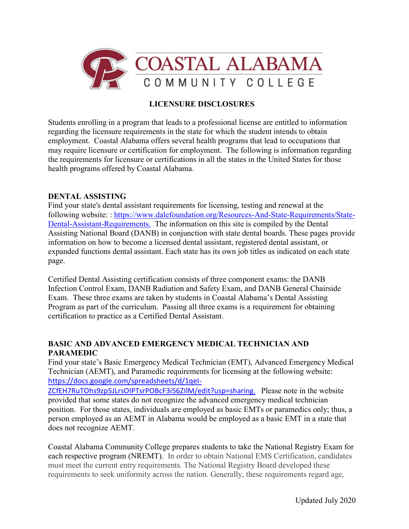

## **LICENSURE DISCLOSURES**

Students enrolling in a program that leads to a professional license are entitled to information regarding the licensure requirements in the state for which the student intends to obtain employment. Coastal Alabama offers several health programs that lead to occupations that may require licensure or certification for employment. The following is information regarding the requirements for licensure or certifications in all the states in the United States for those health programs offered by Coastal Alabama.

## **DENTAL ASSISTING**

Find your state's dental assistant requirements for licensing, testing and renewal at the following website: : [https://www.dalefoundation.org/Resources-And-State-Requirements/State-](https://www.dalefoundation.org/Resources-And-State-Requirements/State-Dental-Assistant-Requirements)[Dental-Assistant-Requirements.](https://www.dalefoundation.org/Resources-And-State-Requirements/State-Dental-Assistant-Requirements) The information on this site is compiled by the Dental Assisting National Board (DANB) in conjunction with state dental boards. These pages provide information on how to become a licensed dental assistant, registered dental assistant, or expanded functions dental assistant. Each state has its own job titles as indicated on each state page.

Certified Dental Assisting certification consists of three component exams: the DANB Infection Control Exam, DANB Radiation and Safety Exam, and DANB General Chairside Exam. These three exams are taken by students in Coastal Alabama's Dental Assisting Program as part of the curriculum. Passing all three exams is a requirement for obtaining certification to practice as a Certified Dental Assistant.

## **BASIC AND ADVANCED EMERGENCY MEDICAL TECHNICIAN AND PARAMEDIC**

Find your state's Basic Emergency Medical Technician (EMT), Advanced Emergency Medical Technician (AEMT), and Paramedic requirements for licensing at the following website: [https://docs.google.com/spreadsheets/d/1qeI-](https://docs.google.com/spreadsheets/d/1qeI-ZCfEH7RuTOhs9zp5JLrsOIPTsrPOBcF3i56ZIlM/edit?usp=sharing)

[ZCfEH7RuTOhs9zp5JLrsOIPTsrPOBcF3i56ZIlM/edit?usp=sharing.](https://docs.google.com/spreadsheets/d/1qeI-ZCfEH7RuTOhs9zp5JLrsOIPTsrPOBcF3i56ZIlM/edit?usp=sharing) Please note in the website provided that some states do not recognize the advanced emergency medical technician position. For those states, individuals are employed as basic EMTs or paramedics only; thus, a person employed as an AEMT in Alabama would be employed as a basic EMT in a state that does not recognize AEMT.

Coastal Alabama Community College prepares students to take the National Registry Exam for each respective program (NREMT). In order to obtain National EMS Certification, candidates must meet the current entry requirements. The National Registry Board developed these requirements to seek uniformity across the nation. Generally, these requirements regard age,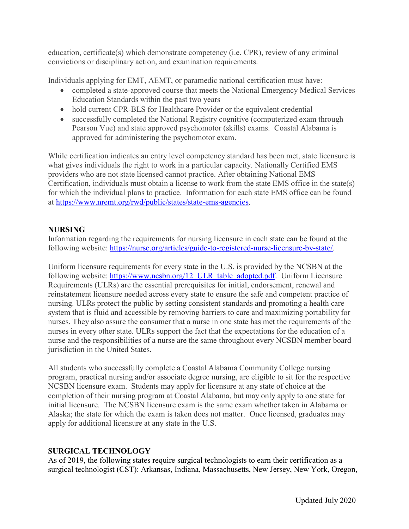education, certificate(s) which demonstrate competency (i.e. CPR), review of any criminal convictions or disciplinary action, and examination requirements.

Individuals applying for EMT, AEMT, or paramedic national certification must have:

- completed a state-approved course that meets the National Emergency Medical Services Education Standards within the past two years
- hold current CPR-BLS for Healthcare Provider or the equivalent credential
- successfully completed the National Registry cognitive (computerized exam through Pearson Vue) and state approved psychomotor (skills) exams. Coastal Alabama is approved for administering the psychomotor exam.

While certification indicates an entry level competency standard has been met, state licensure is what gives individuals the right to work in a particular capacity. Nationally Certified EMS providers who are not state licensed cannot practice. After obtaining National EMS Certification, individuals must obtain a license to work from the state EMS office in the state(s) for which the individual plans to practice. Information for each state EMS office can be found at [https://www.nremt.org/rwd/public/states/state-ems-agencies.](https://www.nremt.org/rwd/public/states/state-ems-agencies)

# **NURSING**

Information regarding the requirements for nursing licensure in each state can be found at the following website: [https://nurse.org/articles/guide-to-registered-nurse-licensure-by-state/.](https://nurse.org/articles/guide-to-registered-nurse-licensure-by-state/)

Uniform licensure requirements for every state in the U.S. is provided by the NCSBN at the following website: [https://www.ncsbn.org/12\\_ULR\\_table\\_adopted.pdf.](https://www.ncsbn.org/12_ULR_table_adopted.pdf) Uniform Licensure Requirements (ULRs) are the essential prerequisites for initial, endorsement, renewal and reinstatement licensure needed across every state to ensure the safe and competent practice of nursing. ULRs protect the public by setting consistent standards and promoting a health care system that is fluid and accessible by removing barriers to care and maximizing portability for nurses. They also assure the consumer that a nurse in one state has met the requirements of the nurses in every other state. ULRs support the fact that the expectations for the education of a nurse and the responsibilities of a nurse are the same throughout every NCSBN member board jurisdiction in the United States.

All students who successfully complete a Coastal Alabama Community College nursing program, practical nursing and/or associate degree nursing, are eligible to sit for the respective NCSBN licensure exam. Students may apply for licensure at any state of choice at the completion of their nursing program at Coastal Alabama, but may only apply to one state for initial licensure. The NCSBN licensure exam is the same exam whether taken in Alabama or Alaska; the state for which the exam is taken does not matter. Once licensed, graduates may apply for additional licensure at any state in the U.S.

# **SURGICAL TECHNOLOGY**

As of 2019, the following states require surgical technologists to earn their certification as a surgical technologist (CST): Arkansas, Indiana, Massachusetts, New Jersey, New York, Oregon,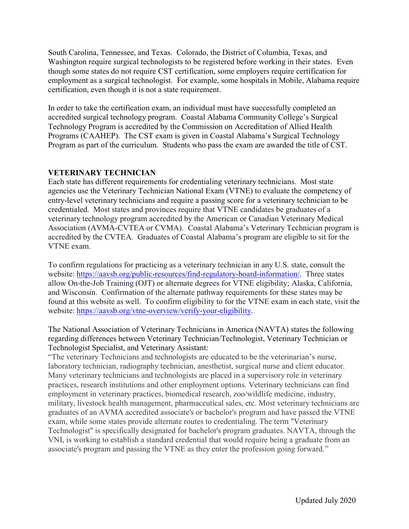South Carolina, Tennessee, and Texas. Colorado, the District of Columbia, Texas, and Washington require surgical technologists to be registered before working in their states. Even though some states do not require CST certification, some employers require certification for employment as a surgical technologist. For example, some hospitals in Mobile, Alabama require certification, even though it is not a state requirement.

In order to take the certification exam, an individual must have successfully completed an accredited surgical technology program. Coastal Alabama Community College's Surgical Technology Program is accredited by the Commission on Accreditation of Allied Health Programs (CAAHEP). The CST exam is given in Coastal Alabama's Surgical Technology Program as part of the curriculum. Students who pass the exam are awarded the title of CST.

## **VETERINARY TECHNICIAN**

Each state has different requirements for credentialing veterinary technicians. Most state agencies use the Veterinary Technician National Exam (VTNE) to evaluate the competency of entry-level veterinary technicians and require a passing score for a veterinary technician to be credentialed. Most states and provinces require that VTNE candidates be graduates of a veterinary technology program accredited by the American or Canadian Veterinary Medical Association (AVMA-CVTEA or CVMA). Coastal Alabama's Veterinary Technician program is accredited by the CVTEA. Graduates of Coastal Alabama's program are eligible to sit for the VTNE exam.

To confirm regulations for practicing as a veterinary technician in any U.S. state, consult the website: [https://aavsb.org/public-resources/find-regulatory-board-information/.](https://aavsb.org/public-resources/find-regulatory-board-information/) Three states allow On-the-Job Training (OJT) or alternate degrees for VTNE eligibility; Alaska, California, and Wisconsin. Confirmation of the alternate pathway requirements for these states may be found at this website as well. To confirm eligibility to for the VTNE exam in each state, visit the website: [https://aavsb.org/vtne-overview/verify-your-eligibility.](https://aavsb.org/vtne-overview/verify-your-eligibility)

The National Association of Veterinary Technicians in America (NAVTA) states the following regarding differences between Veterinary Technician/Technologist, Veterinary Technician or Technologist Specialist, and Veterinary Assistant:

"The veterinary Technicians and technologists are educated to be the veterinarian's nurse, laboratory technician, radiography technician, anesthetist, surgical nurse and client educator. Many veterinary technicians and technologists are placed in a supervisory role in veterinary practices, research institutions and other employment options. Veterinary technicians can find employment in veterinary practices, biomedical research, zoo/wildlife medicine, industry, military, livestock health management, pharmaceutical sales, etc. Most veterinary technicians are graduates of an AVMA accredited associate's or bachelor's program and have passed the VTNE exam, while some states provide alternate routes to credentialing. The term "Veterinary Technologist" is specifically designated for bachelor's program graduates. NAVTA, through the VNI, is working to establish a standard credential that would require being a graduate from an associate's program and passing the VTNE as they enter the profession going forward."